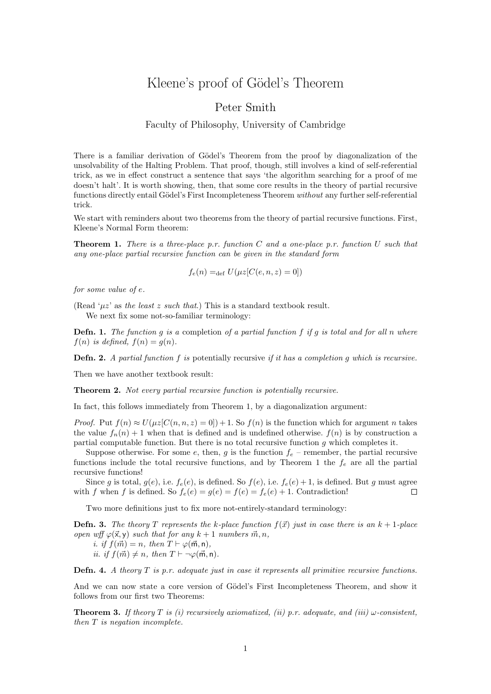## Kleene's proof of Gödel's Theorem

## Peter Smith

## Faculty of Philosophy, University of Cambridge

There is a familiar derivation of Gödel's Theorem from the proof by diagonalization of the unsolvability of the Halting Problem. That proof, though, still involves a kind of self-referential trick, as we in effect construct a sentence that says 'the algorithm searching for a proof of me doesn't halt'. It is worth showing, then, that some core results in the theory of partial recursive functions directly entail Gödel's First Incompleteness Theorem without any further self-referential trick.

We start with reminders about two theorems from the theory of partial recursive functions. First, Kleene's Normal Form theorem:

**Theorem 1.** There is a three-place p.r. function C and a one-place p.r. function U such that any one-place partial recursive function can be given in the standard form

$$
f_e(n) =_{\text{def}} U(\mu z[C(e, n, z) = 0])
$$

for some value of e.

(Read ' $\mu z$ ' as the least z such that.) This is a standard textbook result.

We next fix some not-so-familiar terminology:

**Defn. 1.** The function g is a completion of a partial function f if g is total and for all n where  $f(n)$  is defined,  $f(n) = q(n)$ .

**Defn. 2.** A partial function f is potentially recursive if it has a completion q which is recursive.

Then we have another textbook result:

Theorem 2. Not every partial recursive function is potentially recursive.

In fact, this follows immediately from Theorem 1, by a diagonalization argument:

*Proof.* Put  $f(n) \approx U(\mu z [C(n, n, z) = 0]) + 1$ . So  $f(n)$  is the function which for argument n takes the value  $f_n(n) + 1$  when that is defined and is undefined otherwise.  $f(n)$  is by construction a partial computable function. But there is no total recursive function g which completes it.

Suppose otherwise. For some e, then, g is the function  $f_e$  – remember, the partial recursive functions include the total recursive functions, and by Theorem 1 the  $f_e$  are all the partial recursive functions!

Since g is total,  $g(e)$ , i.e.  $f_e(e)$ , is defined. So  $f(e)$ , i.e.  $f_e(e) + 1$ , is defined. But g must agree with f when f is defined. So  $f_e(e) = q(e) = f(e) = f_e(e) + 1$ . Contradiction!  $\Box$ 

Two more definitions just to fix more not-entirely-standard terminology:

**Defn. 3.** The theory T represents the k-place function  $f(\vec{x})$  just in case there is an  $k + 1$ -place open wff  $\varphi(\vec{x}, y)$  such that for any  $k + 1$  numbers  $\vec{m}, n$ ,

i. if  $f(\vec{m}) = n$ , then  $T \vdash \varphi(\vec{m}, n)$ , ii. if  $f(\vec{m}) \neq n$ , then  $T \vdash \neg \varphi(\vec{m}, n)$ .

**Defn. 4.** A theory  $T$  is p.r. adequate just in case it represents all primitive recursive functions.

And we can now state a core version of Gödel's First Incompleteness Theorem, and show it follows from our first two Theorems:

**Theorem 3.** If theory T is (i) recursively axiomatized, (ii) p.r. adequate, and (iii)  $\omega$ -consistent, then  $T$  is negation incomplete.